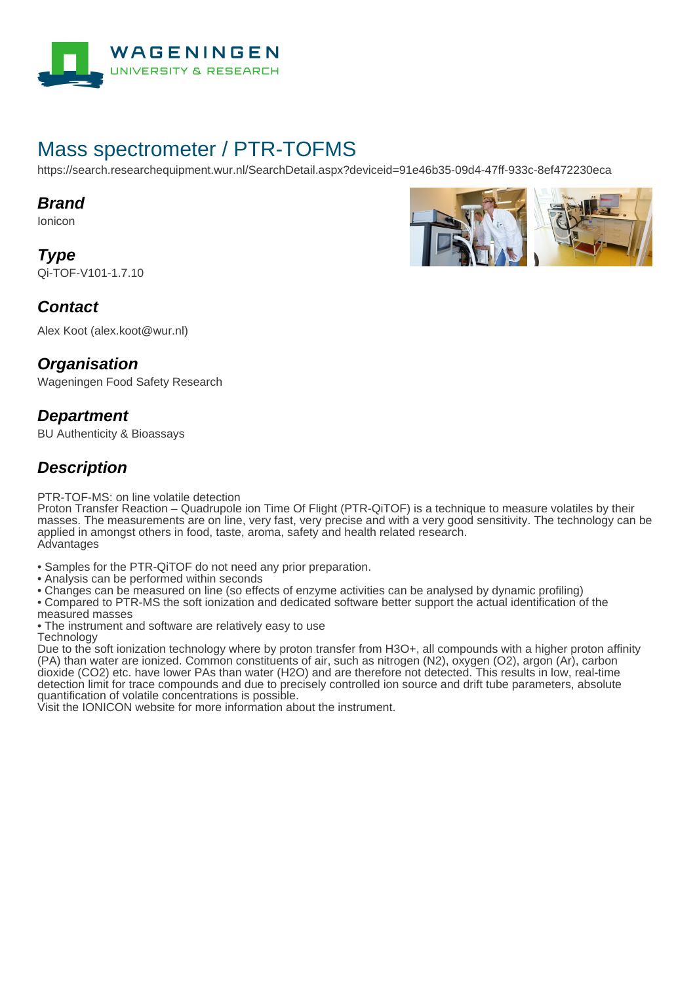

# Mass spectrometer / PTR-TOFMS

https://search.researchequipment.wur.nl/SearchDetail.aspx?deviceid=91e46b35-09d4-47ff-933c-8ef472230eca

#### **Brand**

Ionicon

**Type** Qi-TOF-V101-1.7.10



Alex Koot (alex.koot@wur.nl)

#### **Organisation**

Wageningen Food Safety Research

### **Department**

BU Authenticity & Bioassays

## **Description**

PTR-TOF-MS: on line volatile detection

Proton Transfer Reaction – Quadrupole ion Time Of Flight (PTR-QiTOF) is a technique to measure volatiles by their masses. The measurements are on line, very fast, very precise and with a very good sensitivity. The technology can be applied in amongst others in food, taste, aroma, safety and health related research. **Advantages** 

- Samples for the PTR-QiTOF do not need any prior preparation.
- Analysis can be performed within seconds
- Changes can be measured on line (so effects of enzyme activities can be analysed by dynamic profiling)
- Compared to PTR-MS the soft ionization and dedicated software better support the actual identification of the
- measured masses

• The instrument and software are relatively easy to use **Technology** 

Due to the soft ionization technology where by proton transfer from H3O+, all compounds with a higher proton affinity (PA) than water are ionized. Common constituents of air, such as nitrogen (N2), oxygen (O2), argon (Ar), carbon dioxide (CO2) etc. have lower PAs than water (H2O) and are therefore not detected. This results in low, real-time detection limit for trace compounds and due to precisely controlled ion source and drift tube parameters, absolute quantification of volatile concentrations is possible.

Visit the IONICON website for more information about the instrument.